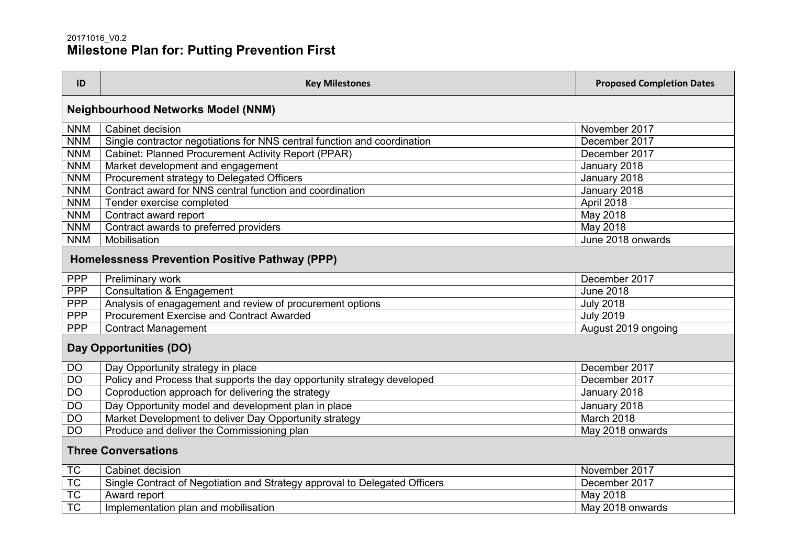## 20171016\_V0.2 **Milestone Plan for: Putting Prevention First**

| ID                                             | <b>Key Milestones</b>                                                      | <b>Proposed Completion Dates</b> |  |
|------------------------------------------------|----------------------------------------------------------------------------|----------------------------------|--|
| <b>Neighbourhood Networks Model (NNM)</b>      |                                                                            |                                  |  |
| <b>NNM</b>                                     | Cabinet decision                                                           | November 2017                    |  |
| <b>NNM</b>                                     | Single contractor negotiations for NNS central function and coordination   | December 2017                    |  |
| <b>NNM</b>                                     | Cabinet: Planned Procurement Activity Report (PPAR)                        | December 2017                    |  |
| <b>NNM</b>                                     | Market development and engagement                                          | January 2018                     |  |
| <b>NNM</b>                                     | <b>Procurement strategy to Delegated Officers</b>                          | January 2018                     |  |
| <b>NNM</b>                                     | Contract award for NNS central function and coordination                   | January 2018                     |  |
| <b>NNM</b>                                     | Tender exercise completed                                                  | April 2018                       |  |
| <b>NNM</b>                                     | Contract award report                                                      | May 2018                         |  |
| <b>NNM</b>                                     | Contract awards to preferred providers                                     | May 2018                         |  |
| <b>NNM</b>                                     | Mobilisation                                                               | June 2018 onwards                |  |
| Homelessness Prevention Positive Pathway (PPP) |                                                                            |                                  |  |
| <b>PPP</b>                                     | Preliminary work                                                           | December 2017                    |  |
| <b>PPP</b>                                     | <b>Consultation &amp; Engagement</b>                                       | <b>June 2018</b>                 |  |
| <b>PPP</b>                                     | Analysis of enagagement and review of procurement options                  | <b>July 2018</b>                 |  |
| <b>PPP</b>                                     | Procurement Exercise and Contract Awarded                                  | <b>July 2019</b>                 |  |
| <b>PPP</b>                                     | <b>Contract Management</b>                                                 | August 2019 ongoing              |  |
| Day Opportunities (DO)                         |                                                                            |                                  |  |
| <b>DO</b>                                      | Day Opportunity strategy in place                                          | December 2017                    |  |
| <b>DO</b>                                      | Policy and Process that supports the day opportunity strategy developed    | December 2017                    |  |
| <b>DO</b>                                      | Coproduction approach for delivering the strategy                          | January 2018                     |  |
| $\overline{DO}$                                | Day Opportunity model and development plan in place                        | January 2018                     |  |
| $\overline{DO}$                                | Market Development to deliver Day Opportunity strategy                     | March 2018                       |  |
| <b>DO</b>                                      | Produce and deliver the Commissioning plan                                 | May 2018 onwards                 |  |
| <b>Three Conversations</b>                     |                                                                            |                                  |  |
| <b>TC</b>                                      | Cabinet decision                                                           | November 2017                    |  |
| TC                                             | Single Contract of Negotiation and Strategy approval to Delegated Officers | December 2017                    |  |
| <b>TC</b>                                      | Award report                                                               | May 2018                         |  |
| <b>TC</b>                                      | Implementation plan and mobilisation                                       | May 2018 onwards                 |  |